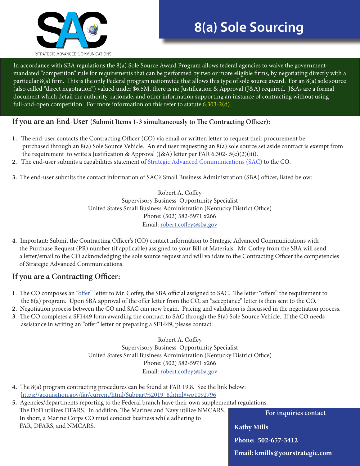

# **8(a) Sole Sourcing**

In accordance with SBA regulations the 8(a) Sole Source Award Program allows federal agencies to waive the governmentmandated "competition" rule for requirements that can be performed by two or more eligible firms, by negotiating directly with a particular 8(a) firm. This is the only Federal program nationwide that allows this type of sole source award. For an 8(a) sole source (also called "direct negotiation") valued under \$6.5M, there is no Justification & Approval (J&A) required. J&As are a formal document which detail the authority, rationale, and other information supporting an instance of contracting without using full-and-open competition. For more information on this refer to statute 6.303-2(d).

### **If you are an End-User (Submit Items 1-3 simultaneously to The Contracting Officer):**

- **1.** The end-user contacts the Contracting Officer (CO) via email or written letter to request their procurement be purchased through an 8(a) Sole Source Vehicle. An end user requesting an 8(a) sole source set aside contract is exempt from the requirement to write a Justification & Approval (J&A) letter per FAR 6.302-  $5(c)(2)(iii)$ .
- **2.** The end-user submits a capabilities statement of [Strategic Advanced Communications \(SAC](#page-1-0)) to the CO.
- **3.** The end-user submits the contact information of SAC's Small Business Administration (SBA) officer, listed below:

Robert A. Coffey Supervisory Business Opportunity Specialist United States Small Business Administration (Kentucky District Office) Phone: (502) 582-5971 x266 Email: robert.coffey@sba.gov

**4.** Important: Submit the Contracting Officer's (CO) contact information to Strategic Advanced Communications with the Purchase Request (PR) number (if applicable) assigned to your Bill of Materials. Mr. Coffey from the SBA will send a letter/email to the CO acknowledging the sole source request and will validate to the Contracting Officer the competencies of Strategic Advanced Communications.

## **If you are a Contracting Officer:**

- **1**. The CO composes an ["offer"](http://farsite.hill.af.mil/vffara.htm) letter to Mr. Coffey, the SBA official assigned to SAC. The letter "offers" the requirement to the 8(a) program. Upon SBA approval of the offer letter from the CO, an "acceptance" letter is then sent to the CO.
- **2.** Negotiation process between the CO and SAC can now begin. Pricing and validation is discussed in the negotiation process.
- **3**. The CO completes a SF1449 form awarding the contract to SAC through the 8(a) Sole Source Vehicle. If the CO needs assistance in writing an "offer" letter or preparing a SF1449, please contact:

Robert A. Coffey Supervisory Business Opportunity Specialist United States Small Business Administration (Kentucky District Office) Phone: (502) 582-5971 x266 Email: robert.coffey@sba.gov

- **4.** The 8(a) program contracting procedures can be found at FAR 19.8. See the link below: [https://acquisition.gov/far/current/html/Subpart%2019\\_8.html#wp1092796](https://acquisition.gov/far/current/html/Subpart%2019_8.html#wp1092796)
- **5.** Agencies/departments reporting to the Federal branch have their own supplemental regulations. The DoD utilizes DFARS. In addition, The Marines and Navy utilize NMCARS. In short, a Marine Corps CO must conduct business while adhering to FAR, DFARS, and NMCARS.

**For inquiries contact** 

**Kathy Mills Phone: 502-657-3412**

**Email: kmills@yourstrategic.com**